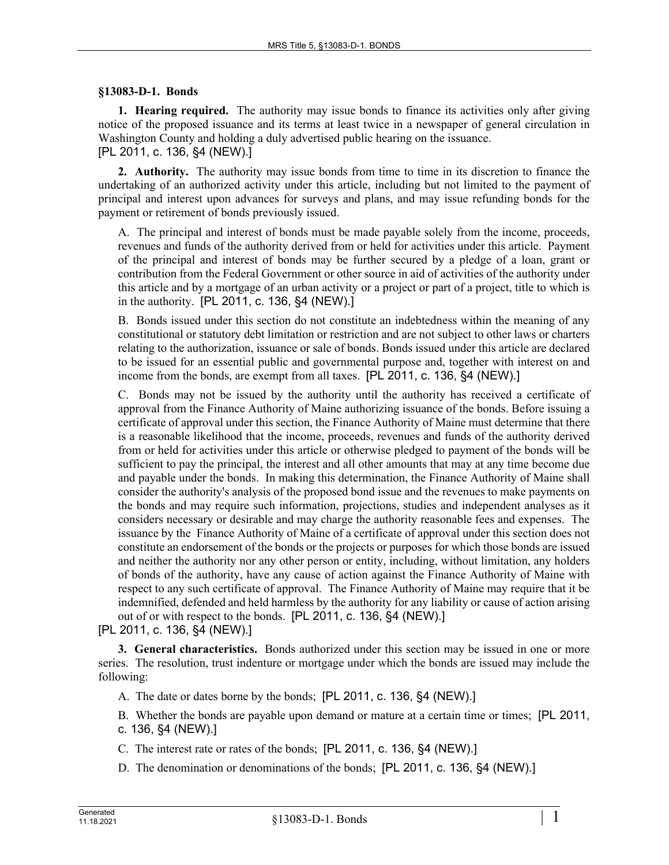#### **§13083-D-1. Bonds**

**1. Hearing required.** The authority may issue bonds to finance its activities only after giving notice of the proposed issuance and its terms at least twice in a newspaper of general circulation in Washington County and holding a duly advertised public hearing on the issuance. [PL 2011, c. 136, §4 (NEW).]

**2. Authority.** The authority may issue bonds from time to time in its discretion to finance the undertaking of an authorized activity under this article, including but not limited to the payment of principal and interest upon advances for surveys and plans, and may issue refunding bonds for the payment or retirement of bonds previously issued.

A. The principal and interest of bonds must be made payable solely from the income, proceeds, revenues and funds of the authority derived from or held for activities under this article. Payment of the principal and interest of bonds may be further secured by a pledge of a loan, grant or contribution from the Federal Government or other source in aid of activities of the authority under this article and by a mortgage of an urban activity or a project or part of a project, title to which is in the authority. [PL 2011, c. 136, §4 (NEW).]

B. Bonds issued under this section do not constitute an indebtedness within the meaning of any constitutional or statutory debt limitation or restriction and are not subject to other laws or charters relating to the authorization, issuance or sale of bonds. Bonds issued under this article are declared to be issued for an essential public and governmental purpose and, together with interest on and income from the bonds, are exempt from all taxes. [PL 2011, c. 136, §4 (NEW).]

C. Bonds may not be issued by the authority until the authority has received a certificate of approval from the Finance Authority of Maine authorizing issuance of the bonds. Before issuing a certificate of approval under this section, the Finance Authority of Maine must determine that there is a reasonable likelihood that the income, proceeds, revenues and funds of the authority derived from or held for activities under this article or otherwise pledged to payment of the bonds will be sufficient to pay the principal, the interest and all other amounts that may at any time become due and payable under the bonds. In making this determination, the Finance Authority of Maine shall consider the authority's analysis of the proposed bond issue and the revenues to make payments on the bonds and may require such information, projections, studies and independent analyses as it considers necessary or desirable and may charge the authority reasonable fees and expenses. The issuance by the Finance Authority of Maine of a certificate of approval under this section does not constitute an endorsement of the bonds or the projects or purposes for which those bonds are issued and neither the authority nor any other person or entity, including, without limitation, any holders of bonds of the authority, have any cause of action against the Finance Authority of Maine with respect to any such certificate of approval. The Finance Authority of Maine may require that it be indemnified, defended and held harmless by the authority for any liability or cause of action arising out of or with respect to the bonds. [PL 2011, c. 136, §4 (NEW).]

[PL 2011, c. 136, §4 (NEW).]

**3. General characteristics.** Bonds authorized under this section may be issued in one or more series. The resolution, trust indenture or mortgage under which the bonds are issued may include the following:

- A. The date or dates borne by the bonds; [PL 2011, c. 136, §4 (NEW).]
- B. Whether the bonds are payable upon demand or mature at a certain time or times; [PL 2011, c. 136, §4 (NEW).]
- C. The interest rate or rates of the bonds; [PL 2011, c. 136, §4 (NEW).]
- D. The denomination or denominations of the bonds; [PL 2011, c. 136, §4 (NEW).]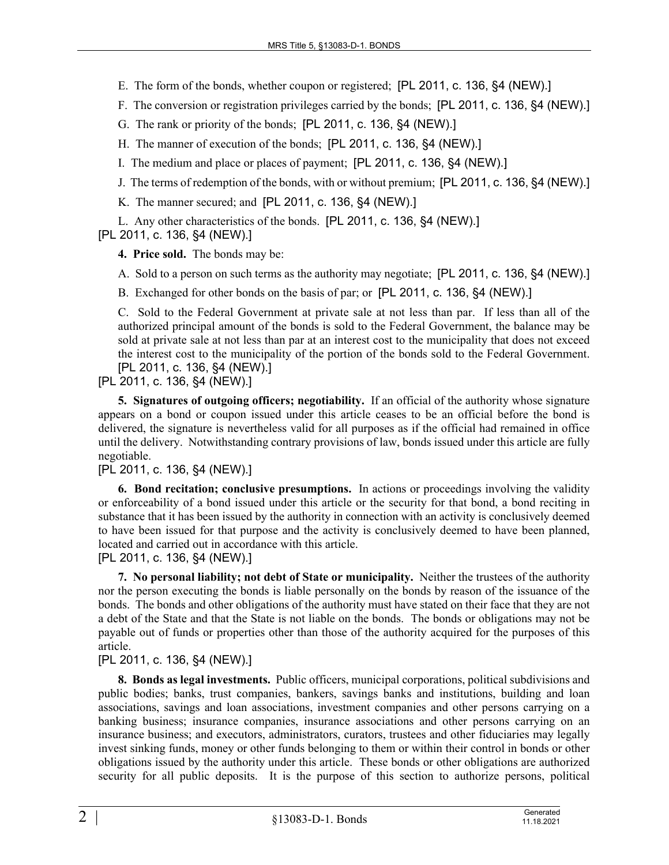- E. The form of the bonds, whether coupon or registered; [PL 2011, c. 136, §4 (NEW).]
- F. The conversion or registration privileges carried by the bonds; [PL 2011, c. 136, §4 (NEW).]
- G. The rank or priority of the bonds; [PL 2011, c. 136, §4 (NEW).]
- H. The manner of execution of the bonds; [PL 2011, c. 136, §4 (NEW).]
- I. The medium and place or places of payment; [PL 2011, c. 136, §4 (NEW).]
- J. The terms of redemption of the bonds, with or without premium; [PL 2011, c. 136, §4 (NEW).]
- K. The manner secured; and [PL 2011, c. 136, §4 (NEW).]

L. Any other characteristics of the bonds. [PL 2011, c. 136, §4 (NEW).] [PL 2011, c. 136, §4 (NEW).]

**4. Price sold.** The bonds may be:

A. Sold to a person on such terms as the authority may negotiate; [PL 2011, c. 136, §4 (NEW).]

B. Exchanged for other bonds on the basis of par; or [PL 2011, c. 136, §4 (NEW).]

C. Sold to the Federal Government at private sale at not less than par. If less than all of the authorized principal amount of the bonds is sold to the Federal Government, the balance may be sold at private sale at not less than par at an interest cost to the municipality that does not exceed the interest cost to the municipality of the portion of the bonds sold to the Federal Government. [PL 2011, c. 136, §4 (NEW).]

[PL 2011, c. 136, §4 (NEW).]

**5. Signatures of outgoing officers; negotiability.** If an official of the authority whose signature appears on a bond or coupon issued under this article ceases to be an official before the bond is delivered, the signature is nevertheless valid for all purposes as if the official had remained in office until the delivery. Notwithstanding contrary provisions of law, bonds issued under this article are fully negotiable.

## [PL 2011, c. 136, §4 (NEW).]

**6. Bond recitation; conclusive presumptions.** In actions or proceedings involving the validity or enforceability of a bond issued under this article or the security for that bond, a bond reciting in substance that it has been issued by the authority in connection with an activity is conclusively deemed to have been issued for that purpose and the activity is conclusively deemed to have been planned, located and carried out in accordance with this article.

[PL 2011, c. 136, §4 (NEW).]

**7. No personal liability; not debt of State or municipality.** Neither the trustees of the authority nor the person executing the bonds is liable personally on the bonds by reason of the issuance of the bonds. The bonds and other obligations of the authority must have stated on their face that they are not a debt of the State and that the State is not liable on the bonds. The bonds or obligations may not be payable out of funds or properties other than those of the authority acquired for the purposes of this article.

## [PL 2011, c. 136, §4 (NEW).]

**8. Bonds as legal investments.** Public officers, municipal corporations, political subdivisions and public bodies; banks, trust companies, bankers, savings banks and institutions, building and loan associations, savings and loan associations, investment companies and other persons carrying on a banking business; insurance companies, insurance associations and other persons carrying on an insurance business; and executors, administrators, curators, trustees and other fiduciaries may legally invest sinking funds, money or other funds belonging to them or within their control in bonds or other obligations issued by the authority under this article. These bonds or other obligations are authorized security for all public deposits. It is the purpose of this section to authorize persons, political